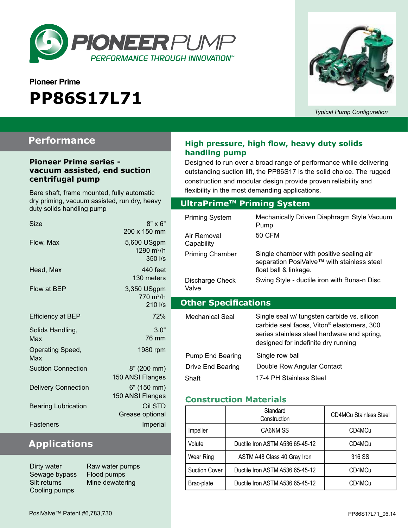

# **Pioneer Prime PP86S17L71**



*Typical Pump Configuration*

### **Performance**

#### **Pioneer Prime series vacuum assisted, end suction centrifugal pump**

Bare shaft, frame mounted, fully automatic dry priming, vacuum assisted, run dry, heavy duty solids handling pump

| Size                       | $8" \times 6"$<br>200 x 150 mm                          |
|----------------------------|---------------------------------------------------------|
| Flow, Max                  | 5,600 USgpm<br>1290 m <sup>3</sup> /h<br>350 l/s        |
| Head, Max                  | 440 feet<br>130 meters                                  |
| Flow at BEP                | 3,350 USgpm<br>$770 \text{ m}^3/h$<br>$210$ $\text{Vs}$ |
| <b>Efficiency at BEP</b>   | 72%                                                     |
| Solids Handling,<br>Max    | 3.0"<br>76 mm                                           |
| Operating Speed,<br>Max    | 1980 rpm                                                |
| <b>Suction Connection</b>  | 8" (200 mm)<br>150 ANSI Flanges                         |
| <b>Delivery Connection</b> | 6" (150 mm)<br>150 ANSI Flanges                         |
| <b>Bearing Lubrication</b> | Oil STD<br>Grease optional                              |
| Fasteners                  | Imperial                                                |

# **Applications**

Dirty water Raw water pumps Sewage bypass Flood pumps Cooling pumps

Silt returns Mine dewatering

#### **High pressure, high flow, heavy duty solids handling pump**

Designed to run over a broad range of performance while delivering outstanding suction lift, the PP86S17 is the solid choice. The rugged construction and modular design provide proven reliability and flexibility in the most demanding applications.

#### **Optional Priming System UltraPrimeTM Priming System**

| <b>Priming System</b><br>Air Removal<br>Capability | Mechanically Driven Diaphragm Style Vacuum<br>Pump<br>50 CFM                                                                                                                                |  |
|----------------------------------------------------|---------------------------------------------------------------------------------------------------------------------------------------------------------------------------------------------|--|
| <b>Priming Chamber</b>                             | Single chamber with positive sealing air<br>separation PosiValve™ with stainless steel<br>float ball & linkage.                                                                             |  |
| Discharge Check<br>Valve                           | Swing Style - ductile iron with Buna-n Disc                                                                                                                                                 |  |
| <b>Other Specifications</b>                        |                                                                                                                                                                                             |  |
|                                                    |                                                                                                                                                                                             |  |
| Mechanical Seal                                    | Single seal w/ tungsten carbide vs. silicon<br>carbide seal faces, Viton <sup>®</sup> elastomers, 300<br>series stainless steel hardware and spring,<br>designed for indefinite dry running |  |
| Pump End Bearing                                   | Single row ball                                                                                                                                                                             |  |
| Drive End Bearing                                  | Double Row Angular Contact                                                                                                                                                                  |  |

#### **Construction Materials**

|                      | Standard<br>Construction        | <b>CD4MCu Stainless Steel</b> |
|----------------------|---------------------------------|-------------------------------|
| Impeller             | CA6NM SS                        | CD4MCu                        |
| Volute               | Ductile Iron ASTM A536 65-45-12 | CD4MCu                        |
| Wear Ring            | ASTM A48 Class 40 Gray Iron     | 316 SS                        |
| <b>Suction Cover</b> | Ductile Iron ASTM A536 65-45-12 | CD4MCu                        |
| Brac-plate           | Ductile Iron ASTM A536 65-45-12 | CD4MCu                        |